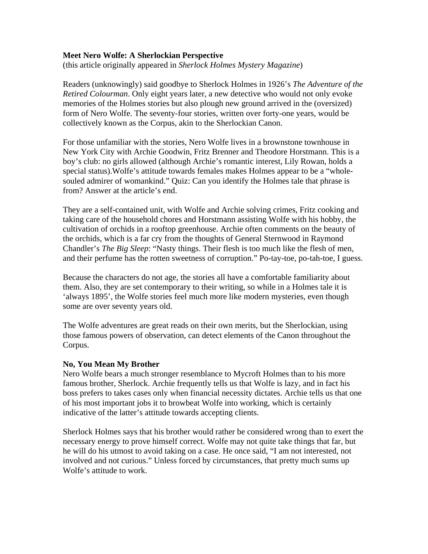## **Meet Nero Wolfe: A Sherlockian Perspective**

(this article originally appeared in *Sherlock Holmes Mystery Magazine*)

Readers (unknowingly) said goodbye to Sherlock Holmes in 1926's *The Adventure of the Retired Colourman*. Only eight years later, a new detective who would not only evoke memories of the Holmes stories but also plough new ground arrived in the (oversized) form of Nero Wolfe. The seventy-four stories, written over forty-one years, would be collectively known as the Corpus, akin to the Sherlockian Canon.

For those unfamiliar with the stories, Nero Wolfe lives in a brownstone townhouse in New York City with Archie Goodwin, Fritz Brenner and Theodore Horstmann. This is a boy's club: no girls allowed (although Archie's romantic interest, Lily Rowan, holds a special status).Wolfe's attitude towards females makes Holmes appear to be a "wholesouled admirer of womankind." Quiz: Can you identify the Holmes tale that phrase is from? Answer at the article's end.

They are a self-contained unit, with Wolfe and Archie solving crimes, Fritz cooking and taking care of the household chores and Horstmann assisting Wolfe with his hobby, the cultivation of orchids in a rooftop greenhouse. Archie often comments on the beauty of the orchids, which is a far cry from the thoughts of General Sternwood in Raymond Chandler's *The Big Sleep*: "Nasty things. Their flesh is too much like the flesh of men, and their perfume has the rotten sweetness of corruption." Po-tay-toe, po-tah-toe, I guess.

Because the characters do not age, the stories all have a comfortable familiarity about them. Also, they are set contemporary to their writing, so while in a Holmes tale it is 'always 1895', the Wolfe stories feel much more like modern mysteries, even though some are over seventy years old.

The Wolfe adventures are great reads on their own merits, but the Sherlockian, using those famous powers of observation, can detect elements of the Canon throughout the Corpus.

## **No, You Mean My Brother**

Nero Wolfe bears a much stronger resemblance to Mycroft Holmes than to his more famous brother, Sherlock. Archie frequently tells us that Wolfe is lazy, and in fact his boss prefers to takes cases only when financial necessity dictates. Archie tells us that one of his most important jobs it to browbeat Wolfe into working, which is certainly indicative of the latter's attitude towards accepting clients.

Sherlock Holmes says that his brother would rather be considered wrong than to exert the necessary energy to prove himself correct. Wolfe may not quite take things that far, but he will do his utmost to avoid taking on a case. He once said, "I am not interested, not involved and not curious." Unless forced by circumstances, that pretty much sums up Wolfe's attitude to work.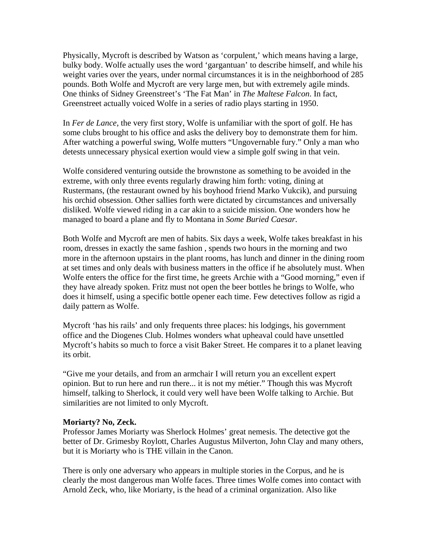Physically, Mycroft is described by Watson as 'corpulent,' which means having a large, bulky body. Wolfe actually uses the word 'gargantuan' to describe himself, and while his weight varies over the years, under normal circumstances it is in the neighborhood of 285 pounds. Both Wolfe and Mycroft are very large men, but with extremely agile minds. One thinks of Sidney Greenstreet's 'The Fat Man' in *The Maltese Falcon*. In fact, Greenstreet actually voiced Wolfe in a series of radio plays starting in 1950.

In *Fer de Lance*, the very first story, Wolfe is unfamiliar with the sport of golf. He has some clubs brought to his office and asks the delivery boy to demonstrate them for him. After watching a powerful swing, Wolfe mutters "Ungovernable fury." Only a man who detests unnecessary physical exertion would view a simple golf swing in that vein.

Wolfe considered venturing outside the brownstone as something to be avoided in the extreme, with only three events regularly drawing him forth: voting, dining at Rustermans, (the restaurant owned by his boyhood friend Marko Vukcik), and pursuing his orchid obsession. Other sallies forth were dictated by circumstances and universally disliked. Wolfe viewed riding in a car akin to a suicide mission. One wonders how he managed to board a plane and fly to Montana in *Some Buried Caesar*.

Both Wolfe and Mycroft are men of habits. Six days a week, Wolfe takes breakfast in his room, dresses in exactly the same fashion , spends two hours in the morning and two more in the afternoon upstairs in the plant rooms, has lunch and dinner in the dining room at set times and only deals with business matters in the office if he absolutely must. When Wolfe enters the office for the first time, he greets Archie with a "Good morning," even if they have already spoken. Fritz must not open the beer bottles he brings to Wolfe, who does it himself, using a specific bottle opener each time. Few detectives follow as rigid a daily pattern as Wolfe.

Mycroft 'has his rails' and only frequents three places: his lodgings, his government office and the Diogenes Club. Holmes wonders what upheaval could have unsettled Mycroft's habits so much to force a visit Baker Street. He compares it to a planet leaving its orbit.

"Give me your details, and from an armchair I will return you an excellent expert opinion. But to run here and run there... it is not my métier." Though this was Mycroft himself, talking to Sherlock, it could very well have been Wolfe talking to Archie. But similarities are not limited to only Mycroft.

### **Moriarty? No, Zeck.**

Professor James Moriarty was Sherlock Holmes' great nemesis. The detective got the better of Dr. Grimesby Roylott, Charles Augustus Milverton, John Clay and many others, but it is Moriarty who is THE villain in the Canon.

There is only one adversary who appears in multiple stories in the Corpus, and he is clearly the most dangerous man Wolfe faces. Three times Wolfe comes into contact with Arnold Zeck, who, like Moriarty, is the head of a criminal organization. Also like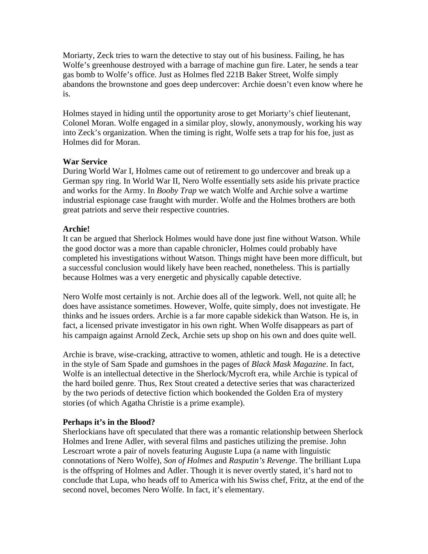Moriarty, Zeck tries to warn the detective to stay out of his business. Failing, he has Wolfe's greenhouse destroyed with a barrage of machine gun fire. Later, he sends a tear gas bomb to Wolfe's office. Just as Holmes fled 221B Baker Street, Wolfe simply abandons the brownstone and goes deep undercover: Archie doesn't even know where he is.

Holmes stayed in hiding until the opportunity arose to get Moriarty's chief lieutenant, Colonel Moran. Wolfe engaged in a similar ploy, slowly, anonymously, working his way into Zeck's organization. When the timing is right, Wolfe sets a trap for his foe, just as Holmes did for Moran.

## **War Service**

During World War I, Holmes came out of retirement to go undercover and break up a German spy ring. In World War II, Nero Wolfe essentially sets aside his private practice and works for the Army. In *Booby Trap* we watch Wolfe and Archie solve a wartime industrial espionage case fraught with murder. Wolfe and the Holmes brothers are both great patriots and serve their respective countries.

# **Archie!**

It can be argued that Sherlock Holmes would have done just fine without Watson. While the good doctor was a more than capable chronicler, Holmes could probably have completed his investigations without Watson. Things might have been more difficult, but a successful conclusion would likely have been reached, nonetheless. This is partially because Holmes was a very energetic and physically capable detective.

Nero Wolfe most certainly is not. Archie does all of the legwork. Well, not quite all; he does have assistance sometimes. However, Wolfe, quite simply, does not investigate. He thinks and he issues orders. Archie is a far more capable sidekick than Watson. He is, in fact, a licensed private investigator in his own right. When Wolfe disappears as part of his campaign against Arnold Zeck, Archie sets up shop on his own and does quite well.

Archie is brave, wise-cracking, attractive to women, athletic and tough. He is a detective in the style of Sam Spade and gumshoes in the pages of *Black Mask Magazine*. In fact, Wolfe is an intellectual detective in the Sherlock/Mycroft era, while Archie is typical of the hard boiled genre. Thus, Rex Stout created a detective series that was characterized by the two periods of detective fiction which bookended the Golden Era of mystery stories (of which Agatha Christie is a prime example).

## **Perhaps it's in the Blood?**

Sherlockians have oft speculated that there was a romantic relationship between Sherlock Holmes and Irene Adler, with several films and pastiches utilizing the premise. John Lescroart wrote a pair of novels featuring Auguste Lupa (a name with linguistic connotations of Nero Wolfe), *Son of Holmes* and *Rasputin's Revenge*. The brilliant Lupa is the offspring of Holmes and Adler. Though it is never overtly stated, it's hard not to conclude that Lupa, who heads off to America with his Swiss chef, Fritz, at the end of the second novel, becomes Nero Wolfe. In fact, it's elementary.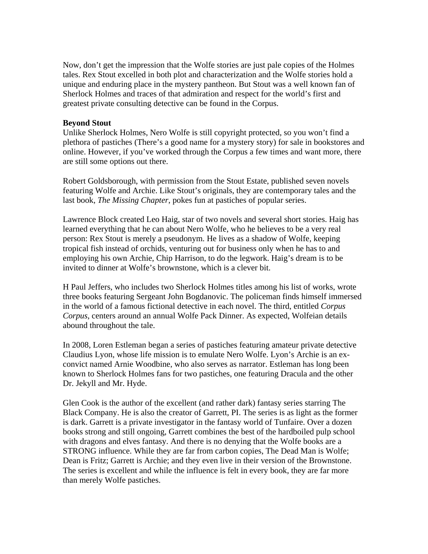Now, don't get the impression that the Wolfe stories are just pale copies of the Holmes tales. Rex Stout excelled in both plot and characterization and the Wolfe stories hold a unique and enduring place in the mystery pantheon. But Stout was a well known fan of Sherlock Holmes and traces of that admiration and respect for the world's first and greatest private consulting detective can be found in the Corpus.

### **Beyond Stout**

Unlike Sherlock Holmes, Nero Wolfe is still copyright protected, so you won't find a plethora of pastiches (There's a good name for a mystery story) for sale in bookstores and online. However, if you've worked through the Corpus a few times and want more, there are still some options out there.

Robert Goldsborough, with permission from the Stout Estate, published seven novels featuring Wolfe and Archie. Like Stout's originals, they are contemporary tales and the last book, *The Missing Chapter*, pokes fun at pastiches of popular series.

Lawrence Block created Leo Haig, star of two novels and several short stories. Haig has learned everything that he can about Nero Wolfe, who he believes to be a very real person: Rex Stout is merely a pseudonym. He lives as a shadow of Wolfe, keeping tropical fish instead of orchids, venturing out for business only when he has to and employing his own Archie, Chip Harrison, to do the legwork. Haig's dream is to be invited to dinner at Wolfe's brownstone, which is a clever bit.

H Paul Jeffers, who includes two Sherlock Holmes titles among his list of works, wrote three books featuring Sergeant John Bogdanovic. The policeman finds himself immersed in the world of a famous fictional detective in each novel. The third, entitled *Corpus Corpus*, centers around an annual Wolfe Pack Dinner. As expected, Wolfeian details abound throughout the tale.

In 2008, Loren Estleman began a series of pastiches featuring amateur private detective Claudius Lyon, whose life mission is to emulate Nero Wolfe. Lyon's Archie is an exconvict named Arnie Woodbine, who also serves as narrator. Estleman has long been known to Sherlock Holmes fans for two pastiches, one featuring Dracula and the other Dr. Jekyll and Mr. Hyde.

Glen Cook is the author of the excellent (and rather dark) fantasy series starring The Black Company. He is also the creator of Garrett, PI. The series is as light as the former is dark. Garrett is a private investigator in the fantasy world of Tunfaire. Over a dozen books strong and still ongoing, Garrett combines the best of the hardboiled pulp school with dragons and elves fantasy. And there is no denying that the Wolfe books are a STRONG influence. While they are far from carbon copies, The Dead Man is Wolfe; Dean is Fritz; Garrett is Archie; and they even live in their version of the Brownstone. The series is excellent and while the influence is felt in every book, they are far more than merely Wolfe pastiches.